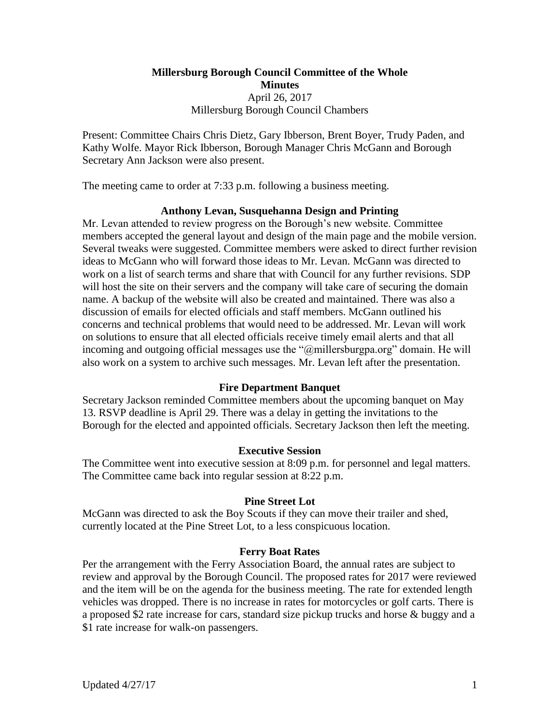# **Millersburg Borough Council Committee of the Whole Minutes** April 26, 2017 Millersburg Borough Council Chambers

Present: Committee Chairs Chris Dietz, Gary Ibberson, Brent Boyer, Trudy Paden, and Kathy Wolfe. Mayor Rick Ibberson, Borough Manager Chris McGann and Borough Secretary Ann Jackson were also present.

The meeting came to order at 7:33 p.m. following a business meeting.

# **Anthony Levan, Susquehanna Design and Printing**

Mr. Levan attended to review progress on the Borough's new website. Committee members accepted the general layout and design of the main page and the mobile version. Several tweaks were suggested. Committee members were asked to direct further revision ideas to McGann who will forward those ideas to Mr. Levan. McGann was directed to work on a list of search terms and share that with Council for any further revisions. SDP will host the site on their servers and the company will take care of securing the domain name. A backup of the website will also be created and maintained. There was also a discussion of emails for elected officials and staff members. McGann outlined his concerns and technical problems that would need to be addressed. Mr. Levan will work on solutions to ensure that all elected officials receive timely email alerts and that all incoming and outgoing official messages use the "@millersburgpa.org" domain. He will also work on a system to archive such messages. Mr. Levan left after the presentation.

# **Fire Department Banquet**

Secretary Jackson reminded Committee members about the upcoming banquet on May 13. RSVP deadline is April 29. There was a delay in getting the invitations to the Borough for the elected and appointed officials. Secretary Jackson then left the meeting.

# **Executive Session**

The Committee went into executive session at 8:09 p.m. for personnel and legal matters. The Committee came back into regular session at 8:22 p.m.

# **Pine Street Lot**

McGann was directed to ask the Boy Scouts if they can move their trailer and shed, currently located at the Pine Street Lot, to a less conspicuous location.

# **Ferry Boat Rates**

Per the arrangement with the Ferry Association Board, the annual rates are subject to review and approval by the Borough Council. The proposed rates for 2017 were reviewed and the item will be on the agenda for the business meeting. The rate for extended length vehicles was dropped. There is no increase in rates for motorcycles or golf carts. There is a proposed \$2 rate increase for cars, standard size pickup trucks and horse & buggy and a \$1 rate increase for walk-on passengers.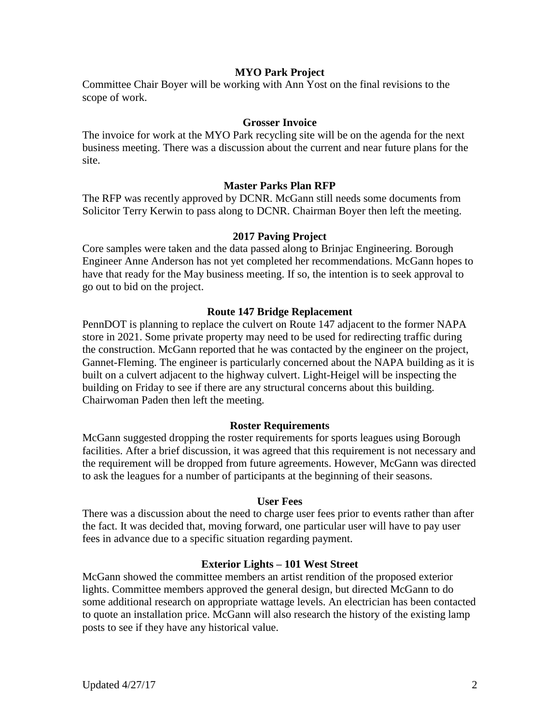# **MYO Park Project**

Committee Chair Boyer will be working with Ann Yost on the final revisions to the scope of work.

### **Grosser Invoice**

The invoice for work at the MYO Park recycling site will be on the agenda for the next business meeting. There was a discussion about the current and near future plans for the site.

# **Master Parks Plan RFP**

The RFP was recently approved by DCNR. McGann still needs some documents from Solicitor Terry Kerwin to pass along to DCNR. Chairman Boyer then left the meeting.

#### **2017 Paving Project**

Core samples were taken and the data passed along to Brinjac Engineering. Borough Engineer Anne Anderson has not yet completed her recommendations. McGann hopes to have that ready for the May business meeting. If so, the intention is to seek approval to go out to bid on the project.

#### **Route 147 Bridge Replacement**

PennDOT is planning to replace the culvert on Route 147 adjacent to the former NAPA store in 2021. Some private property may need to be used for redirecting traffic during the construction. McGann reported that he was contacted by the engineer on the project, Gannet-Fleming. The engineer is particularly concerned about the NAPA building as it is built on a culvert adjacent to the highway culvert. Light-Heigel will be inspecting the building on Friday to see if there are any structural concerns about this building. Chairwoman Paden then left the meeting.

#### **Roster Requirements**

McGann suggested dropping the roster requirements for sports leagues using Borough facilities. After a brief discussion, it was agreed that this requirement is not necessary and the requirement will be dropped from future agreements. However, McGann was directed to ask the leagues for a number of participants at the beginning of their seasons.

#### **User Fees**

There was a discussion about the need to charge user fees prior to events rather than after the fact. It was decided that, moving forward, one particular user will have to pay user fees in advance due to a specific situation regarding payment.

# **Exterior Lights – 101 West Street**

McGann showed the committee members an artist rendition of the proposed exterior lights. Committee members approved the general design, but directed McGann to do some additional research on appropriate wattage levels. An electrician has been contacted to quote an installation price. McGann will also research the history of the existing lamp posts to see if they have any historical value.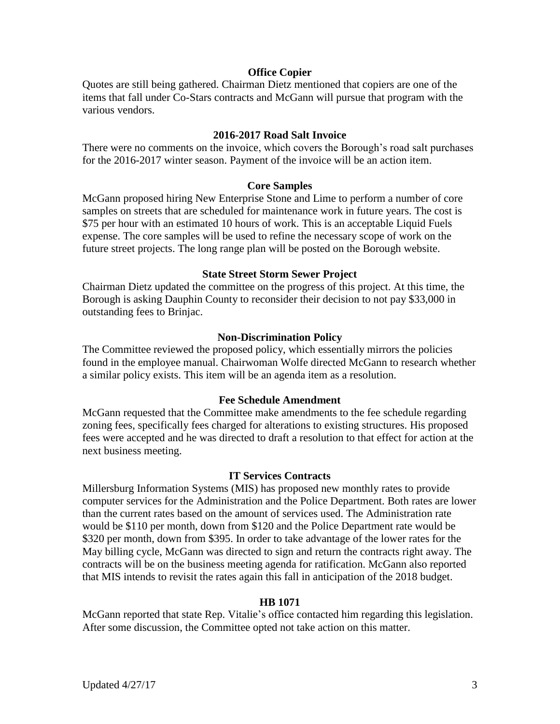# **Office Copier**

Quotes are still being gathered. Chairman Dietz mentioned that copiers are one of the items that fall under Co-Stars contracts and McGann will pursue that program with the various vendors.

#### **2016-2017 Road Salt Invoice**

There were no comments on the invoice, which covers the Borough's road salt purchases for the 2016-2017 winter season. Payment of the invoice will be an action item.

#### **Core Samples**

McGann proposed hiring New Enterprise Stone and Lime to perform a number of core samples on streets that are scheduled for maintenance work in future years. The cost is \$75 per hour with an estimated 10 hours of work. This is an acceptable Liquid Fuels expense. The core samples will be used to refine the necessary scope of work on the future street projects. The long range plan will be posted on the Borough website.

#### **State Street Storm Sewer Project**

Chairman Dietz updated the committee on the progress of this project. At this time, the Borough is asking Dauphin County to reconsider their decision to not pay \$33,000 in outstanding fees to Brinjac.

#### **Non-Discrimination Policy**

The Committee reviewed the proposed policy, which essentially mirrors the policies found in the employee manual. Chairwoman Wolfe directed McGann to research whether a similar policy exists. This item will be an agenda item as a resolution.

#### **Fee Schedule Amendment**

McGann requested that the Committee make amendments to the fee schedule regarding zoning fees, specifically fees charged for alterations to existing structures. His proposed fees were accepted and he was directed to draft a resolution to that effect for action at the next business meeting.

#### **IT Services Contracts**

Millersburg Information Systems (MIS) has proposed new monthly rates to provide computer services for the Administration and the Police Department. Both rates are lower than the current rates based on the amount of services used. The Administration rate would be \$110 per month, down from \$120 and the Police Department rate would be \$320 per month, down from \$395. In order to take advantage of the lower rates for the May billing cycle, McGann was directed to sign and return the contracts right away. The contracts will be on the business meeting agenda for ratification. McGann also reported that MIS intends to revisit the rates again this fall in anticipation of the 2018 budget.

#### **HB 1071**

McGann reported that state Rep. Vitalie's office contacted him regarding this legislation. After some discussion, the Committee opted not take action on this matter.